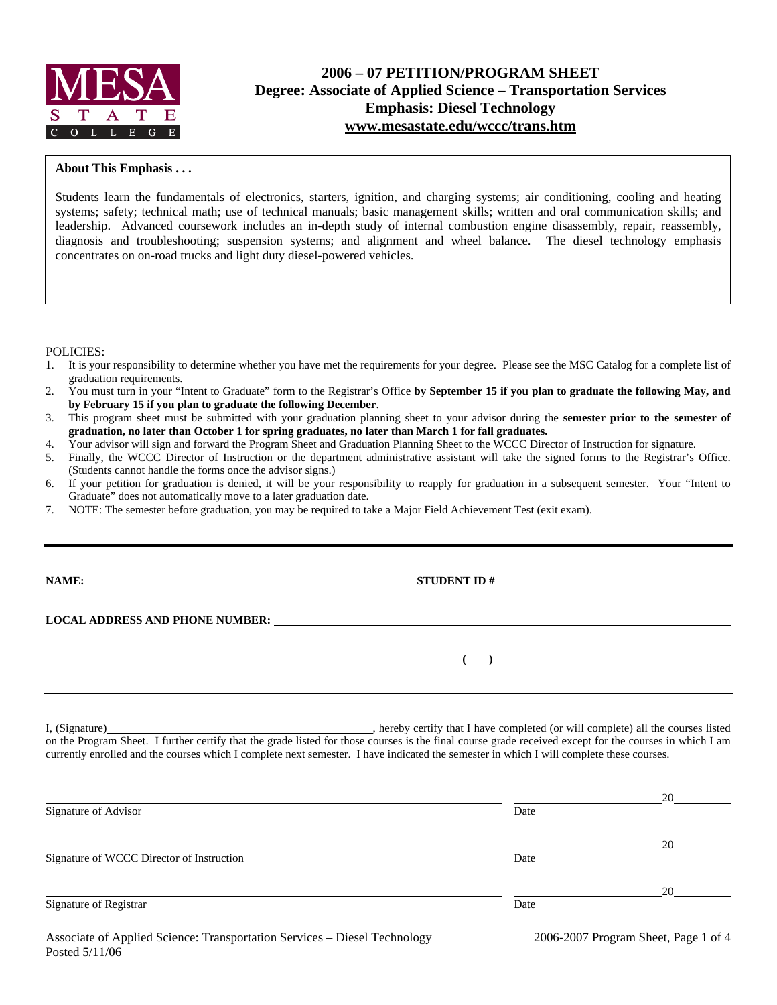

# **2006 – 07 PETITION/PROGRAM SHEET Degree: Associate of Applied Science – Transportation Services Emphasis: Diesel Technology www.mesastate.edu/wccc/trans.htm**

#### **About This Emphasis . . .**

Students learn the fundamentals of electronics, starters, ignition, and charging systems; air conditioning, cooling and heating systems; safety; technical math; use of technical manuals; basic management skills; written and oral communication skills; and leadership. Advanced coursework includes an in-depth study of internal combustion engine disassembly, repair, reassembly, diagnosis and troubleshooting; suspension systems; and alignment and wheel balance. The diesel technology emphasis concentrates on on-road trucks and light duty diesel-powered vehicles.

#### POLICIES:

- 1. It is your responsibility to determine whether you have met the requirements for your degree. Please see the MSC Catalog for a complete list of graduation requirements.
- 2. You must turn in your "Intent to Graduate" form to the Registrar's Office **by September 15 if you plan to graduate the following May, and by February 15 if you plan to graduate the following December**.
- 3. This program sheet must be submitted with your graduation planning sheet to your advisor during the **semester prior to the semester of graduation, no later than October 1 for spring graduates, no later than March 1 for fall graduates.**
- 4. Your advisor will sign and forward the Program Sheet and Graduation Planning Sheet to the WCCC Director of Instruction for signature.
- 5. Finally, the WCCC Director of Instruction or the department administrative assistant will take the signed forms to the Registrar's Office. (Students cannot handle the forms once the advisor signs.)
- 6. If your petition for graduation is denied, it will be your responsibility to reapply for graduation in a subsequent semester. Your "Intent to Graduate" does not automatically move to a later graduation date.
- 7. NOTE: The semester before graduation, you may be required to take a Major Field Achievement Test (exit exam).

**NAME: STUDENT ID #**

 **( )** 

#### **LOCAL ADDRESS AND PHONE NUMBER:**

I, (Signature) , hereby certify that I have completed (or will complete) all the courses listed on the Program Sheet. I further certify that the grade listed for those courses is the final course grade received except for the courses in which I am currently enrolled and the courses which I complete next semester. I have indicated the semester in which I will complete these courses.

|                                           |      | 20 |
|-------------------------------------------|------|----|
| Signature of Advisor                      | Date |    |
|                                           |      | 20 |
| Signature of WCCC Director of Instruction | Date |    |
|                                           |      | 20 |
| Signature of Registrar                    | Date |    |
|                                           |      |    |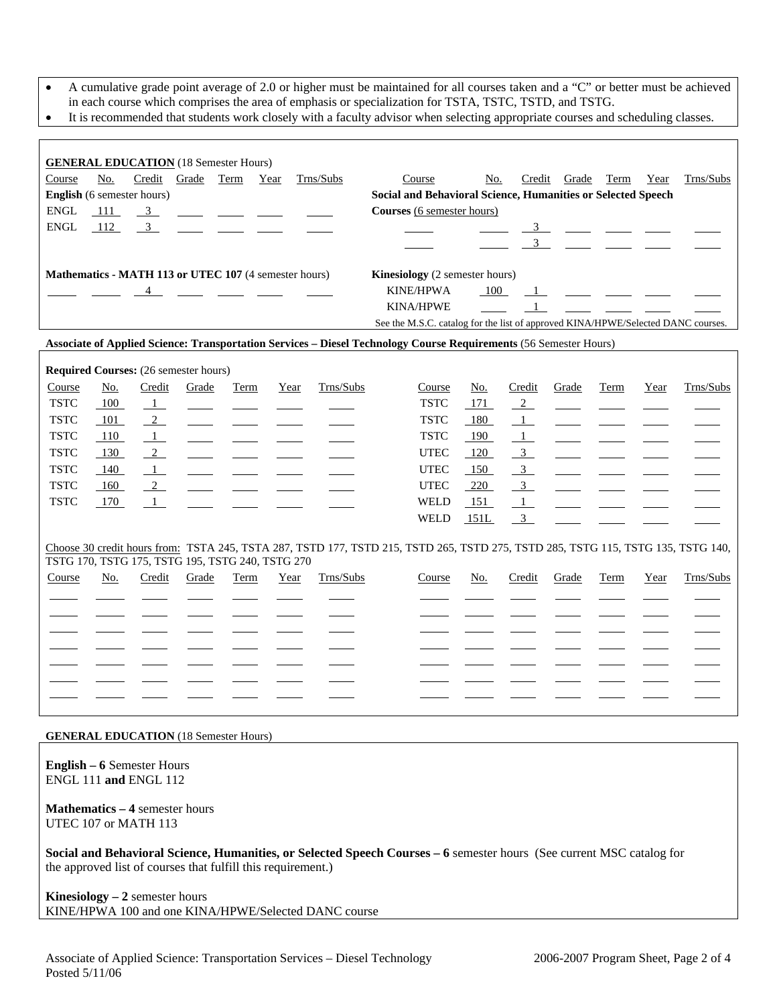- A cumulative grade point average of 2.0 or higher must be maintained for all courses taken and a "C" or better must be achieved in each course which comprises the area of emphasis or specialization for TSTA, TSTC, TSTD, and TSTG.
- It is recommended that students work closely with a faculty advisor when selecting appropriate courses and scheduling classes.

| <b>GENERAL EDUCATION</b> (18 Semester Hours)<br>No.<br>Credit<br>Trns/Subs<br>Grade<br>Term<br>Course<br>No.<br>Credit<br>Grade<br>Term<br>Year<br>Trns/Subs<br>Course<br>Year<br>English (6 semester hours)<br>Social and Behavioral Science, Humanities or Selected Speech<br>Courses (6 semester hours)<br><b>ENGL</b><br>111<br>$\frac{3}{2}$<br><b>ENGL</b><br>112<br>$\overline{3}$<br>$\frac{3}{2}$ $\frac{1}{2}$ $\frac{1}{2}$ $\frac{1}{2}$<br>$\frac{3}{2}$ $\frac{1}{2}$ $\frac{1}{2}$ $\frac{1}{2}$<br>Mathematics - MATH 113 or UTEC 107 (4 semester hours)<br>Kinesiology (2 semester hours)<br><b>KINE/HPWA</b><br>100<br>4<br>$\frac{1}{\sqrt{2}}$ and $\frac{1}{\sqrt{2}}$ and $\frac{1}{\sqrt{2}}$<br><u> 1980 - Andre Stadt British Stadt British Stadt British Stadt British Stadt British Stadt British Stadt British</u><br>$\sim$ 1 $\sim$<br><b>KINA/HPWE</b> |
|---------------------------------------------------------------------------------------------------------------------------------------------------------------------------------------------------------------------------------------------------------------------------------------------------------------------------------------------------------------------------------------------------------------------------------------------------------------------------------------------------------------------------------------------------------------------------------------------------------------------------------------------------------------------------------------------------------------------------------------------------------------------------------------------------------------------------------------------------------------------------------------|
|                                                                                                                                                                                                                                                                                                                                                                                                                                                                                                                                                                                                                                                                                                                                                                                                                                                                                       |
|                                                                                                                                                                                                                                                                                                                                                                                                                                                                                                                                                                                                                                                                                                                                                                                                                                                                                       |
|                                                                                                                                                                                                                                                                                                                                                                                                                                                                                                                                                                                                                                                                                                                                                                                                                                                                                       |
|                                                                                                                                                                                                                                                                                                                                                                                                                                                                                                                                                                                                                                                                                                                                                                                                                                                                                       |
|                                                                                                                                                                                                                                                                                                                                                                                                                                                                                                                                                                                                                                                                                                                                                                                                                                                                                       |
|                                                                                                                                                                                                                                                                                                                                                                                                                                                                                                                                                                                                                                                                                                                                                                                                                                                                                       |
|                                                                                                                                                                                                                                                                                                                                                                                                                                                                                                                                                                                                                                                                                                                                                                                                                                                                                       |
|                                                                                                                                                                                                                                                                                                                                                                                                                                                                                                                                                                                                                                                                                                                                                                                                                                                                                       |
|                                                                                                                                                                                                                                                                                                                                                                                                                                                                                                                                                                                                                                                                                                                                                                                                                                                                                       |
| See the M.S.C. catalog for the list of approved KINA/HPWE/Selected DANC courses.                                                                                                                                                                                                                                                                                                                                                                                                                                                                                                                                                                                                                                                                                                                                                                                                      |
| Associate of Applied Science: Transportation Services - Diesel Technology Course Requirements (56 Semester Hours)                                                                                                                                                                                                                                                                                                                                                                                                                                                                                                                                                                                                                                                                                                                                                                     |
| Required Courses: (26 semester hours)                                                                                                                                                                                                                                                                                                                                                                                                                                                                                                                                                                                                                                                                                                                                                                                                                                                 |
| Trns/Subs<br>Trns/Subs<br>Course<br>No.<br>Credit<br>Credit<br>Grade<br>Term<br>Year<br>Course<br>No.<br>Grade<br>Term<br>Year                                                                                                                                                                                                                                                                                                                                                                                                                                                                                                                                                                                                                                                                                                                                                        |
| <b>TSTC</b><br><b>TSTC</b><br>100<br>171<br>$\frac{2}{2}$<br>$\perp$<br>$\mathcal{L}_{\text{max}}$                                                                                                                                                                                                                                                                                                                                                                                                                                                                                                                                                                                                                                                                                                                                                                                    |
| <b>TSTC</b><br>$\overline{2}$<br><b>TSTC</b><br>101<br>180<br>$\Box$                                                                                                                                                                                                                                                                                                                                                                                                                                                                                                                                                                                                                                                                                                                                                                                                                  |
| <b>TSTC</b><br><b>TSTC</b><br>110<br>$\overline{1}$<br>190<br>$\frac{1}{2}$<br>$\overline{\phantom{iiiiiiiiiiiiiii}}$<br><u>and a state of the state of the state of the state of the state of the state of the state of the state of the s</u>                                                                                                                                                                                                                                                                                                                                                                                                                                                                                                                                                                                                                                       |
| 3 <sup>1</sup><br><b>TSTC</b><br>2<br><b>UTEC</b><br>130<br>120                                                                                                                                                                                                                                                                                                                                                                                                                                                                                                                                                                                                                                                                                                                                                                                                                       |
| 3<br><b>TSTC</b><br>140<br>$\overline{1}$<br><b>UTEC</b><br>150                                                                                                                                                                                                                                                                                                                                                                                                                                                                                                                                                                                                                                                                                                                                                                                                                       |
| <b>TSTC</b><br>$\frac{3}{2}$<br>$\frac{2}{2}$<br><b>UTEC</b><br>220<br>160<br>$\overline{\phantom{a}}$<br>$\overline{\phantom{a}}$                                                                                                                                                                                                                                                                                                                                                                                                                                                                                                                                                                                                                                                                                                                                                    |
| <b>TSTC</b><br><b>WELD</b><br>151<br>170<br>$\overline{1}$<br>$\mathbf{1}$                                                                                                                                                                                                                                                                                                                                                                                                                                                                                                                                                                                                                                                                                                                                                                                                            |
| WELD<br>$\overline{\mathbf{3}}$<br>151L                                                                                                                                                                                                                                                                                                                                                                                                                                                                                                                                                                                                                                                                                                                                                                                                                                               |
| Choose 30 credit hours from: TSTA 245, TSTA 287, TSTD 177, TSTD 215, TSTD 265, TSTD 275, TSTD 285, TSTG 115, TSTG 135, TSTG 140,                                                                                                                                                                                                                                                                                                                                                                                                                                                                                                                                                                                                                                                                                                                                                      |
| TSTG 170, TSTG 175, TSTG 195, TSTG 240, TSTG 270                                                                                                                                                                                                                                                                                                                                                                                                                                                                                                                                                                                                                                                                                                                                                                                                                                      |
| Trns/Subs<br>Trns/Subs<br>Credit<br>Course<br>No.<br>Grade<br>Term<br>Year<br>No.<br>Credit<br>Grade<br>Term<br>Course<br>Year                                                                                                                                                                                                                                                                                                                                                                                                                                                                                                                                                                                                                                                                                                                                                        |
|                                                                                                                                                                                                                                                                                                                                                                                                                                                                                                                                                                                                                                                                                                                                                                                                                                                                                       |
|                                                                                                                                                                                                                                                                                                                                                                                                                                                                                                                                                                                                                                                                                                                                                                                                                                                                                       |
|                                                                                                                                                                                                                                                                                                                                                                                                                                                                                                                                                                                                                                                                                                                                                                                                                                                                                       |
|                                                                                                                                                                                                                                                                                                                                                                                                                                                                                                                                                                                                                                                                                                                                                                                                                                                                                       |
|                                                                                                                                                                                                                                                                                                                                                                                                                                                                                                                                                                                                                                                                                                                                                                                                                                                                                       |
|                                                                                                                                                                                                                                                                                                                                                                                                                                                                                                                                                                                                                                                                                                                                                                                                                                                                                       |
|                                                                                                                                                                                                                                                                                                                                                                                                                                                                                                                                                                                                                                                                                                                                                                                                                                                                                       |

**GENERAL EDUCATION** (18 Semester Hours)

**English – 6** Semester Hours ENGL 111 **and** ENGL 112

**Mathematics – 4** semester hours UTEC 107 or MATH 113

**Social and Behavioral Science, Humanities, or Selected Speech Courses – 6** semester hours (See current MSC catalog for the approved list of courses that fulfill this requirement.)

**Kinesiology – 2** semester hours KINE/HPWA 100 and one KINA/HPWE/Selected DANC course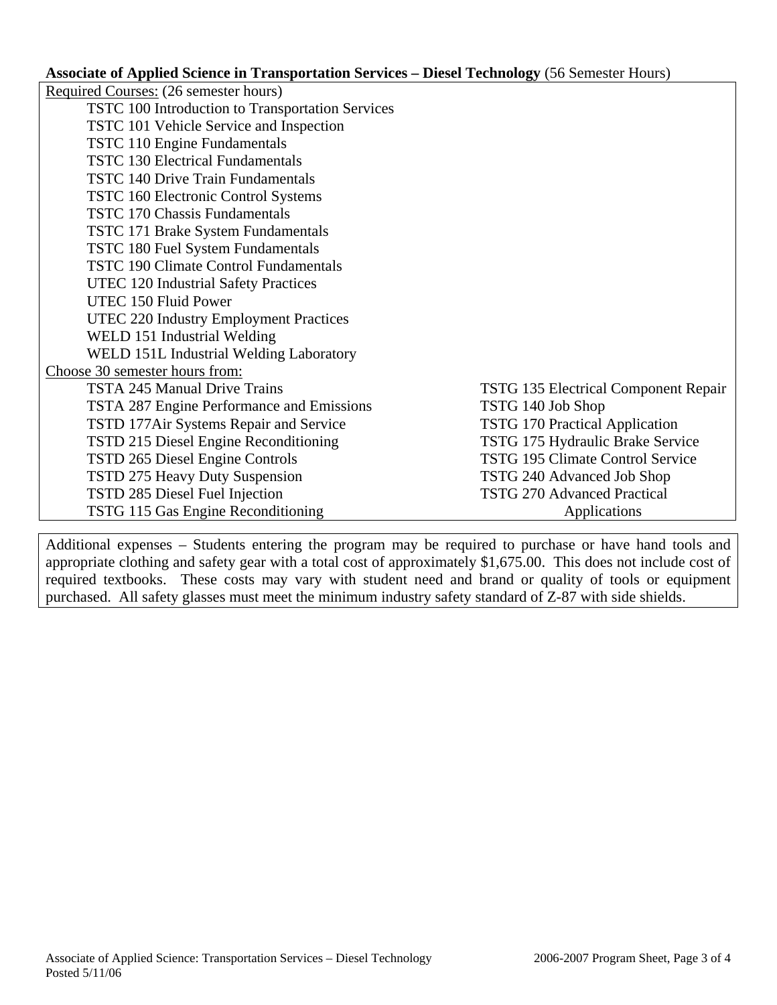## **Associate of Applied Science in Transportation Services – Diesel Technology** (56 Semester Hours)

|                                                  | $\mathbf{r}$ and $\mathbf{r}$ are $\mathbf{r}$ are $\mathbf{r}$ and $\mathbf{r}$ and $\mathbf{r}$ are $\mathbf{r}$ are $\mathbf{r}$ are $\mathbf{r}$ are $\mathbf{r}$ are $\mathbf{r}$ are $\mathbf{r}$ are $\mathbf{r}$ are $\mathbf{r}$ are $\mathbf{r}$ are $\mathbf{r}$ are $\mathbf{r}$ are |
|--------------------------------------------------|--------------------------------------------------------------------------------------------------------------------------------------------------------------------------------------------------------------------------------------------------------------------------------------------------|
| Required Courses: (26 semester hours)            |                                                                                                                                                                                                                                                                                                  |
| TSTC 100 Introduction to Transportation Services |                                                                                                                                                                                                                                                                                                  |
| TSTC 101 Vehicle Service and Inspection          |                                                                                                                                                                                                                                                                                                  |
| <b>TSTC 110 Engine Fundamentals</b>              |                                                                                                                                                                                                                                                                                                  |
| <b>TSTC 130 Electrical Fundamentals</b>          |                                                                                                                                                                                                                                                                                                  |
| <b>TSTC 140 Drive Train Fundamentals</b>         |                                                                                                                                                                                                                                                                                                  |
| <b>TSTC 160 Electronic Control Systems</b>       |                                                                                                                                                                                                                                                                                                  |
| <b>TSTC 170 Chassis Fundamentals</b>             |                                                                                                                                                                                                                                                                                                  |
| TSTC 171 Brake System Fundamentals               |                                                                                                                                                                                                                                                                                                  |
| TSTC 180 Fuel System Fundamentals                |                                                                                                                                                                                                                                                                                                  |
| <b>TSTC 190 Climate Control Fundamentals</b>     |                                                                                                                                                                                                                                                                                                  |
| UTEC 120 Industrial Safety Practices             |                                                                                                                                                                                                                                                                                                  |
| UTEC 150 Fluid Power                             |                                                                                                                                                                                                                                                                                                  |
| UTEC 220 Industry Employment Practices           |                                                                                                                                                                                                                                                                                                  |
| WELD 151 Industrial Welding                      |                                                                                                                                                                                                                                                                                                  |
| WELD 151L Industrial Welding Laboratory          |                                                                                                                                                                                                                                                                                                  |
| Choose 30 semester hours from:                   |                                                                                                                                                                                                                                                                                                  |
| <b>TSTA 245 Manual Drive Trains</b>              | <b>TSTG 135 Electrical Component Repair</b>                                                                                                                                                                                                                                                      |
| TSTA 287 Engine Performance and Emissions        | TSTG 140 Job Shop                                                                                                                                                                                                                                                                                |
| TSTD 177Air Systems Repair and Service           | <b>TSTG 170 Practical Application</b>                                                                                                                                                                                                                                                            |
| TSTD 215 Diesel Engine Reconditioning            | TSTG 175 Hydraulic Brake Service                                                                                                                                                                                                                                                                 |
| TSTD 265 Diesel Engine Controls                  | <b>TSTG 195 Climate Control Service</b>                                                                                                                                                                                                                                                          |
| <b>TSTD 275 Heavy Duty Suspension</b>            | TSTG 240 Advanced Job Shop                                                                                                                                                                                                                                                                       |
| TSTD 285 Diesel Fuel Injection                   | <b>TSTG 270 Advanced Practical</b>                                                                                                                                                                                                                                                               |
| TSTG 115 Gas Engine Reconditioning               | Applications                                                                                                                                                                                                                                                                                     |

Additional expenses – Students entering the program may be required to purchase or have hand tools and appropriate clothing and safety gear with a total cost of approximately \$1,675.00. This does not include cost of required textbooks. These costs may vary with student need and brand or quality of tools or equipment purchased. All safety glasses must meet the minimum industry safety standard of Z-87 with side shields.